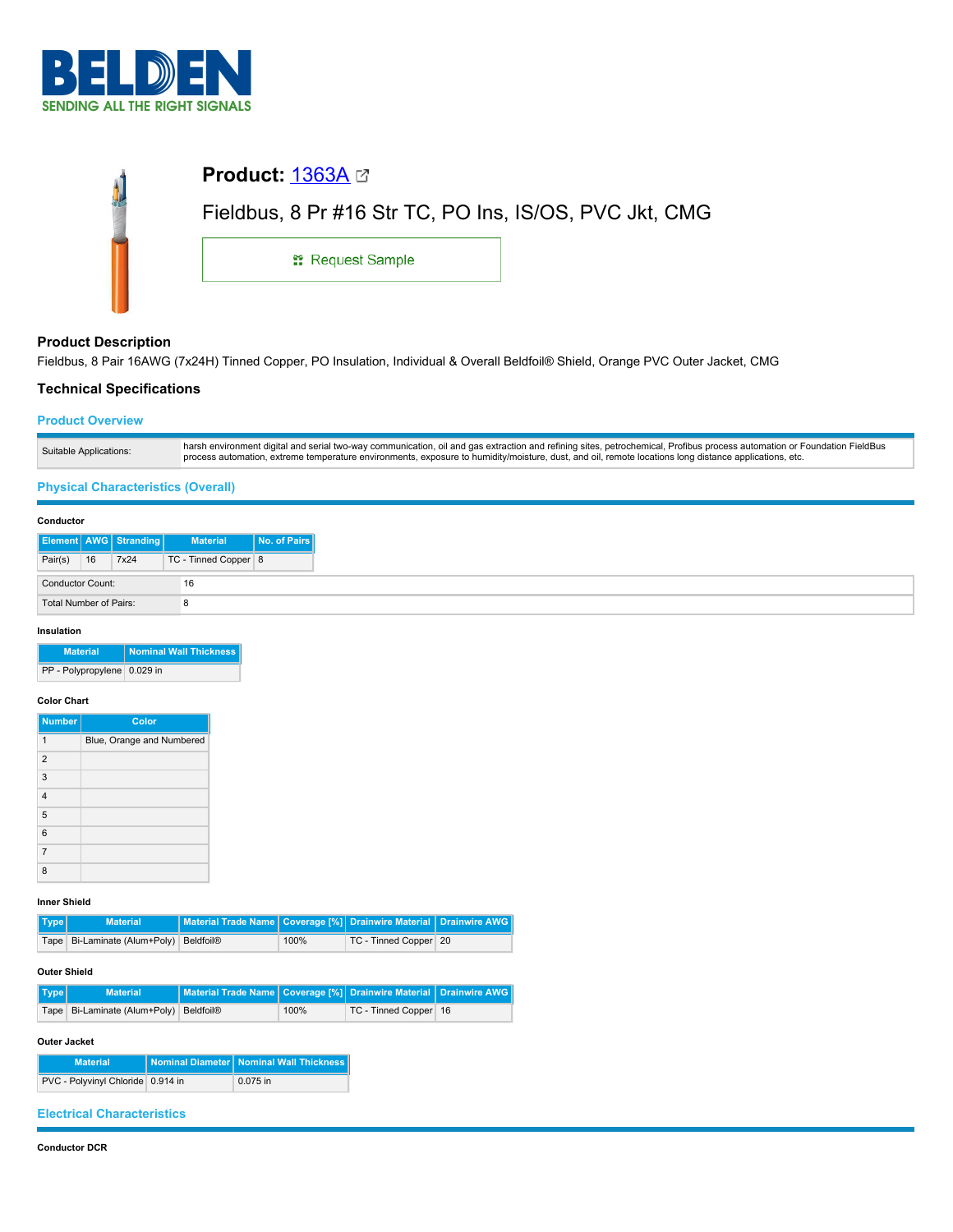

| Product: <u>1363A</u> ⊠                                |  |
|--------------------------------------------------------|--|
| Fieldbus, 8 Pr #16 Str TC, PO Ins, IS/OS, PVC Jkt, CMG |  |
| <b>: Request Sample</b>                                |  |
|                                                        |  |

## **Product Description**

Fieldbus, 8 Pair 16AWG (7x24H) Tinned Copper, PO Insulation, Individual & Overall Beldfoil® Shield, Orange PVC Outer Jacket, CMG

# **Technical Specifications**

#### **Product Overview**

| Suitable Applications: | harsh environment digital and serial two-way communication, oil and gas extraction and refining sites, petrochemical, Profibus process automation or Foundation FieldBus<br>process automation, extreme temperature environments, exposure to humidity/moisture, dust, and oil, remote locations long distance applications, etc. |
|------------------------|-----------------------------------------------------------------------------------------------------------------------------------------------------------------------------------------------------------------------------------------------------------------------------------------------------------------------------------|

## **Physical Characteristics (Overall)**

#### **Conductor**

|                        |    | <b>Element AWG Stranding</b> | <b>Material</b>      | No. of Pairs |
|------------------------|----|------------------------------|----------------------|--------------|
| Pair(s)                | 16 | 7x24                         | TC - Tinned Copper 8 |              |
| Conductor Count:       |    | 16                           |                      |              |
| Total Number of Pairs: |    |                              |                      |              |

#### **Insulation**

| <b>Material</b>             | Nominal Wall Thickness |
|-----------------------------|------------------------|
| PP - Polypropylene 0.029 in |                        |

#### **Color Chart**

| <b>Number</b>  | Color                     |
|----------------|---------------------------|
| 1              | Blue, Orange and Numbered |
| $\overline{2}$ |                           |
| 3              |                           |
| $\overline{4}$ |                           |
| 5              |                           |
| 6              |                           |
| $\overline{7}$ |                           |
| 8              |                           |

## **Inner Shield**

| Type | <b>Material</b>                            | Material Trade Name   Coverage [%] Drainwire Material   Drainwire AWG |      |                       |  |
|------|--------------------------------------------|-----------------------------------------------------------------------|------|-----------------------|--|
|      | Tape   Bi-Laminate (Alum+Poly)   Beldfoil® |                                                                       | 100% | TC - Tinned Copper 20 |  |

### **Outer Shield**

| Type | <b>Material</b>                            | Material Trade Name   Coverage [%]   Drainwire Material   Drainwire AWG |      |                         |  |
|------|--------------------------------------------|-------------------------------------------------------------------------|------|-------------------------|--|
|      | Tape   Bi-Laminate (Alum+Poly)   Beldfoil® |                                                                         | 100% | TC - Tinned Copper   16 |  |

#### **Outer Jacket**

| <b>Material</b>                   | Nominal Diameter   Nominal Wall Thickness |
|-----------------------------------|-------------------------------------------|
| PVC - Polyvinyl Chloride 0.914 in | 0.075 in                                  |

## **Electrical Characteristics**

### **Conductor DCR**

 $\sim$  $\bar{z}$  $\overline{a}$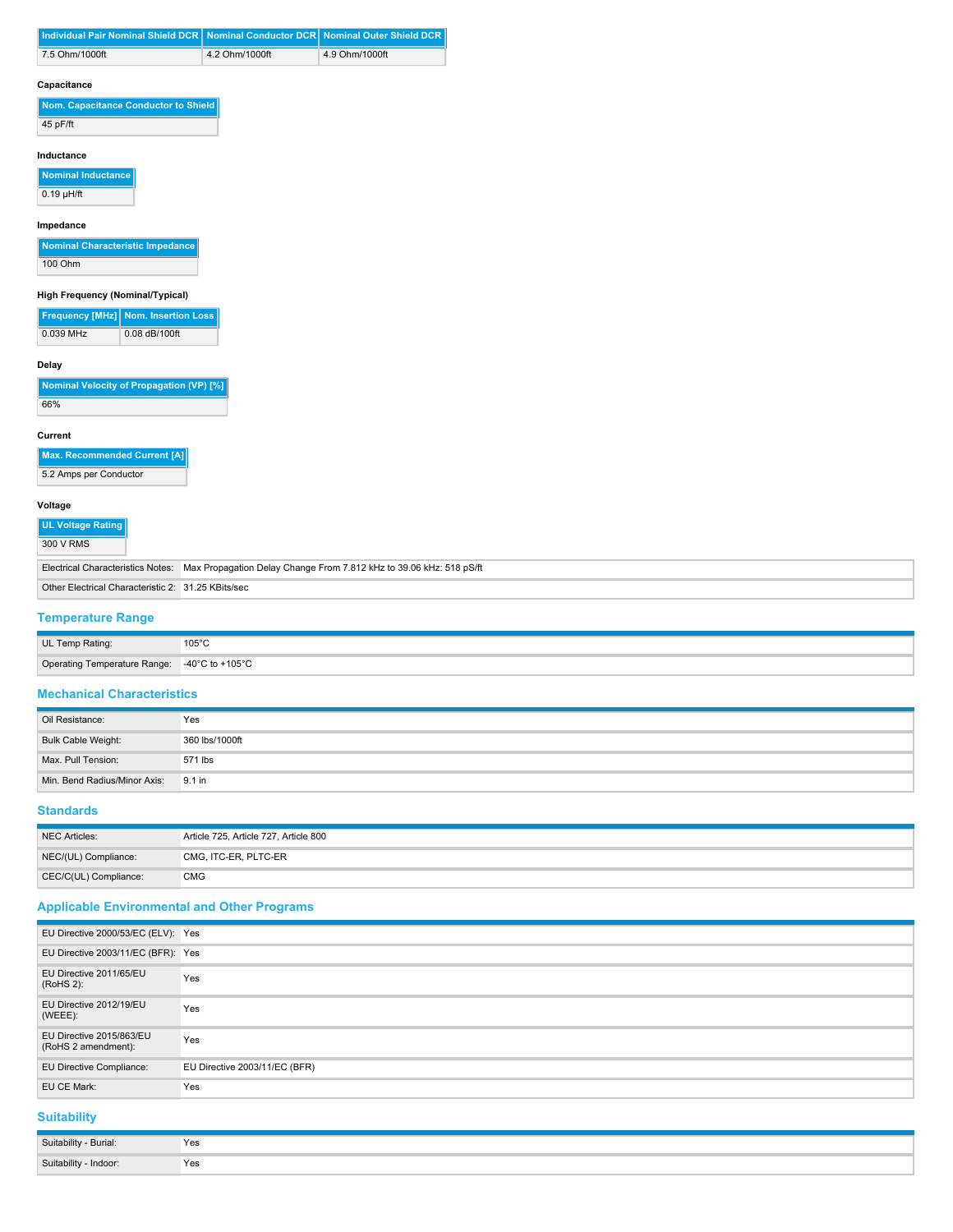|                                                            | Individual Pair Nominal Shield DCR   |                |                |
|------------------------------------------------------------|--------------------------------------|----------------|----------------|
| 7.5 Ohm/1000ft                                             |                                      | 4.2 Ohm/1000ft | 4.9 Ohm/1000ft |
| Capacitance                                                |                                      |                |                |
|                                                            | Nom. Capacitance Conductor to Shield |                |                |
| 45 pF/ft                                                   |                                      |                |                |
| Inductance                                                 |                                      |                |                |
|                                                            |                                      |                |                |
|                                                            |                                      |                |                |
| Nominal Inductance<br>$0.19$ µH/ft                         |                                      |                |                |
| Impedance                                                  |                                      |                |                |
| Nominal Characteristic Impedance                           |                                      |                |                |
|                                                            |                                      |                |                |
| 100 Ohm                                                    |                                      |                |                |
| High Frequency (Nominal/Typical)<br><b>Frequency [MHz]</b> | <b>Nom. Insertion Loss</b>           |                |                |

| Nominal Velocity of Propagation (VP) [%] |  |
|------------------------------------------|--|
| 66%                                      |  |

**Current**

| Max. Recommended Current [A] |
|------------------------------|
|                              |

5.2 Amps per Conductor

### **Voltage**

| <b>UL Voltage Rating</b><br>300 V RMS              |                                                                                                       |
|----------------------------------------------------|-------------------------------------------------------------------------------------------------------|
|                                                    | Electrical Characteristics Notes: Max Propagation Delay Change From 7.812 kHz to 39.06 kHz: 518 pS/ft |
| Other Electrical Characteristic 2: 31.25 KBits/sec |                                                                                                       |

## **Temperature Range**

| UL Temp Rating:              | $105^{\circ}$ C<br>. |
|------------------------------|----------------------|
| Operating Temperature Range: | -40°C to +105°C      |

## **Mechanical Characteristics**

| Oil Resistance:                     | Yes            |
|-------------------------------------|----------------|
| Bulk Cable Weight:                  | 360 lbs/1000ft |
| Max. Pull Tension:                  | 571 lbs        |
| Min. Bend Radius/Minor Axis: 9.1 in |                |

## **Standards**

| NEC Articles:         | Article 725, Article 727, Article 800 |
|-----------------------|---------------------------------------|
| NEC/(UL) Compliance:  | CMG, ITC-ER, PLTC-ER                  |
| CEC/C(UL) Compliance: | <b>CMG</b>                            |

## **Applicable Environmental and Other Programs**

| EU Directive 2000/53/EC (ELV): Yes              |                               |
|-------------------------------------------------|-------------------------------|
| EU Directive 2003/11/EC (BFR): Yes              |                               |
| EU Directive 2011/65/EU<br>(RoHS 2):            | Yes                           |
| EU Directive 2012/19/EU<br>(WEEE):              | Yes                           |
| EU Directive 2015/863/EU<br>(RoHS 2 amendment): | Yes                           |
| EU Directive Compliance:                        | EU Directive 2003/11/EC (BFR) |
| EU CE Mark:                                     | Yes                           |

## **Suitability**

| Suitability - Burial: | Yes |
|-----------------------|-----|
| Suitability - Indoor: | Yes |